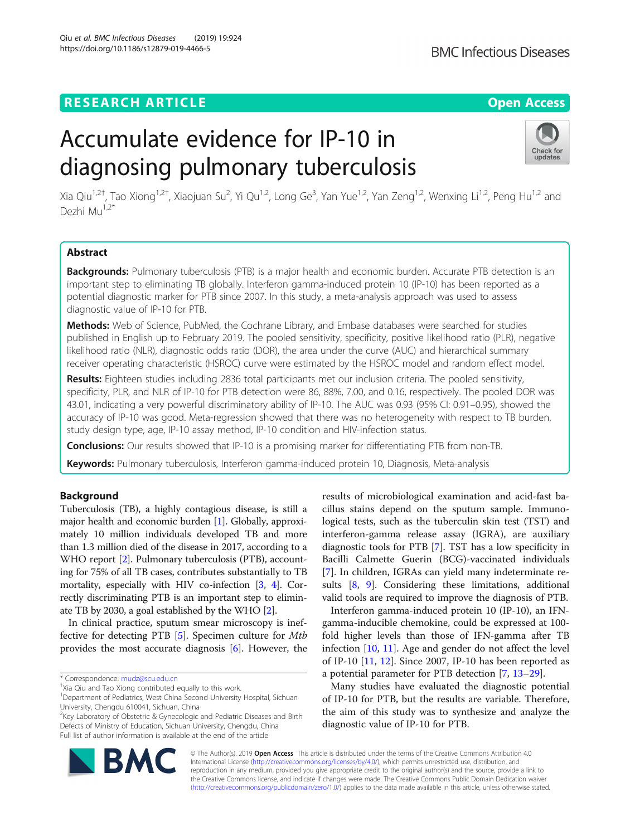## **RESEARCH ARTICLE Example 2014 12:30 The Open Access**

# Accumulate evidence for IP-10 in diagnosing pulmonary tuberculosis

Xia Qiu<sup>1,2†</sup>, Tao Xiong<sup>1,2†</sup>, Xiaojuan Su<sup>2</sup>, Yi Qu<sup>1,2</sup>, Long Ge<sup>3</sup>, Yan Yue<sup>1,2</sup>, Yan Zeng<sup>1,2</sup>, Wenxing Li<sup>1,2</sup>, Peng Hu<sup>1,2</sup> and Dezhi Mu1,2\*

## Abstract

Backgrounds: Pulmonary tuberculosis (PTB) is a major health and economic burden. Accurate PTB detection is an important step to eliminating TB globally. Interferon gamma-induced protein 10 (IP-10) has been reported as a potential diagnostic marker for PTB since 2007. In this study, a meta-analysis approach was used to assess diagnostic value of IP-10 for PTB.

Methods: Web of Science, PubMed, the Cochrane Library, and Embase databases were searched for studies published in English up to February 2019. The pooled sensitivity, specificity, positive likelihood ratio (PLR), negative likelihood ratio (NLR), diagnostic odds ratio (DOR), the area under the curve (AUC) and hierarchical summary receiver operating characteristic (HSROC) curve were estimated by the HSROC model and random effect model.

Results: Eighteen studies including 2836 total participants met our inclusion criteria. The pooled sensitivity, specificity, PLR, and NLR of IP-10 for PTB detection were 86, 88%, 7.00, and 0.16, respectively. The pooled DOR was 43.01, indicating a very powerful discriminatory ability of IP-10. The AUC was 0.93 (95% CI: 0.91–0.95), showed the accuracy of IP-10 was good. Meta-regression showed that there was no heterogeneity with respect to TB burden, study design type, age, IP-10 assay method, IP-10 condition and HIV-infection status.

**Conclusions:** Our results showed that IP-10 is a promising marker for differentiating PTB from non-TB.

Keywords: Pulmonary tuberculosis, Interferon gamma-induced protein 10, Diagnosis, Meta-analysis

## Background

Tuberculosis (TB), a highly contagious disease, is still a major health and economic burden [\[1](#page-7-0)]. Globally, approximately 10 million individuals developed TB and more than 1.3 million died of the disease in 2017, according to a WHO report [\[2](#page-7-0)]. Pulmonary tuberculosis (PTB), accounting for 75% of all TB cases, contributes substantially to TB mortality, especially with HIV co-infection [[3](#page-7-0), [4](#page-7-0)]. Correctly discriminating PTB is an important step to eliminate TB by 2030, a goal established by the WHO [\[2\]](#page-7-0).

In clinical practice, sputum smear microscopy is ineffective for detecting PTB [\[5](#page-7-0)]. Specimen culture for Mtb provides the most accurate diagnosis [\[6](#page-7-0)]. However, the

\* Correspondence: [mudz@scu.edu.cn](mailto:mudz@scu.edu.cn) †

<sup>+</sup>Xia Qiu and Tao Xiong contributed equally to this work.

<sup>2</sup>Key Laboratory of Obstetric & Gynecologic and Pediatric Diseases and Birth Defects of Ministry of Education, Sichuan University, Chengdu, China Full list of author information is available at the end of the article

results of microbiological examination and acid-fast bacillus stains depend on the sputum sample. Immunological tests, such as the tuberculin skin test (TST) and interferon-gamma release assay (IGRA), are auxiliary diagnostic tools for PTB [[7\]](#page-7-0). TST has a low specificity in Bacilli Calmette Guerin (BCG)-vaccinated individuals [[7\]](#page-7-0). In children, IGRAs can yield many indeterminate results [[8,](#page-7-0) [9](#page-7-0)]. Considering these limitations, additional valid tools are required to improve the diagnosis of PTB.

Interferon gamma-induced protein 10 (IP-10), an IFNgamma-inducible chemokine, could be expressed at 100 fold higher levels than those of IFN-gamma after TB infection [[10,](#page-7-0) [11\]](#page-7-0). Age and gender do not affect the level of IP-10 [\[11](#page-7-0), [12](#page-7-0)]. Since 2007, IP-10 has been reported as a potential parameter for PTB detection [[7,](#page-7-0) [13](#page-7-0)–[29](#page-8-0)].

Many studies have evaluated the diagnostic potential of IP-10 for PTB, but the results are variable. Therefore, the aim of this study was to synthesize and analyze the diagnostic value of IP-10 for PTB.

© The Author(s). 2019 **Open Access** This article is distributed under the terms of the Creative Commons Attribution 4.0 International License [\(http://creativecommons.org/licenses/by/4.0/](http://creativecommons.org/licenses/by/4.0/)), which permits unrestricted use, distribution, and reproduction in any medium, provided you give appropriate credit to the original author(s) and the source, provide a link to the Creative Commons license, and indicate if changes were made. The Creative Commons Public Domain Dedication waiver [\(http://creativecommons.org/publicdomain/zero/1.0/](http://creativecommons.org/publicdomain/zero/1.0/)) applies to the data made available in this article, unless otherwise stated.





Check for updates

<sup>&</sup>lt;sup>1</sup>Department of Pediatrics, West China Second University Hospital, Sichuan University, Chengdu 610041, Sichuan, China

Qiu et al. BMC Infectious Diseases (2019) 19:924 https://doi.org/10.1186/s12879-019-4466-5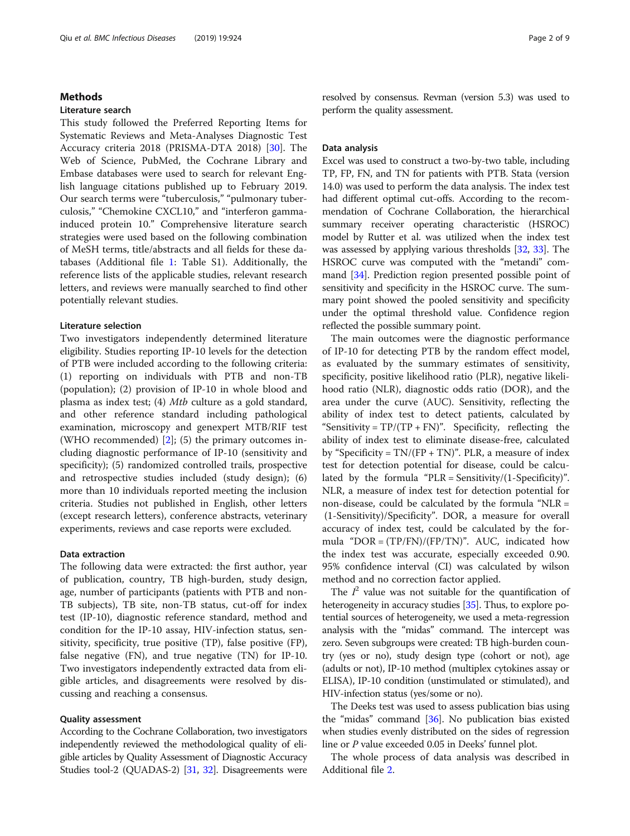### Methods

#### Literature search

This study followed the Preferred Reporting Items for Systematic Reviews and Meta-Analyses Diagnostic Test Accuracy criteria 2018 (PRISMA-DTA 2018) [[30\]](#page-8-0). The Web of Science, PubMed, the Cochrane Library and Embase databases were used to search for relevant English language citations published up to February 2019. Our search terms were "tuberculosis," "pulmonary tuberculosis," "Chemokine CXCL10," and "interferon gammainduced protein 10." Comprehensive literature search strategies were used based on the following combination of MeSH terms, title/abstracts and all fields for these databases (Additional file [1:](#page-7-0) Table S1). Additionally, the reference lists of the applicable studies, relevant research letters, and reviews were manually searched to find other potentially relevant studies.

#### Literature selection

Two investigators independently determined literature eligibility. Studies reporting IP-10 levels for the detection of PTB were included according to the following criteria: (1) reporting on individuals with PTB and non-TB (population); (2) provision of IP-10 in whole blood and plasma as index test; (4) Mtb culture as a gold standard, and other reference standard including pathological examination, microscopy and genexpert MTB/RIF test (WHO recommended)  $[2]$  $[2]$  $[2]$ ; (5) the primary outcomes including diagnostic performance of IP-10 (sensitivity and specificity); (5) randomized controlled trails, prospective and retrospective studies included (study design); (6) more than 10 individuals reported meeting the inclusion criteria. Studies not published in English, other letters (except research letters), conference abstracts, veterinary experiments, reviews and case reports were excluded.

#### Data extraction

The following data were extracted: the first author, year of publication, country, TB high-burden, study design, age, number of participants (patients with PTB and non-TB subjects), TB site, non-TB status, cut-off for index test (IP-10), diagnostic reference standard, method and condition for the IP-10 assay, HIV-infection status, sensitivity, specificity, true positive (TP), false positive (FP), false negative (FN), and true negative (TN) for IP-10. Two investigators independently extracted data from eligible articles, and disagreements were resolved by discussing and reaching a consensus.

## Quality assessment

According to the Cochrane Collaboration, two investigators independently reviewed the methodological quality of eligible articles by Quality Assessment of Diagnostic Accuracy Studies tool-2 (QUADAS-2) [[31](#page-8-0), [32](#page-8-0)]. Disagreements were resolved by consensus. Revman (version 5.3) was used to perform the quality assessment.

#### Data analysis

Excel was used to construct a two-by-two table, including TP, FP, FN, and TN for patients with PTB. Stata (version 14.0) was used to perform the data analysis. The index test had different optimal cut-offs. According to the recommendation of Cochrane Collaboration, the hierarchical summary receiver operating characteristic (HSROC) model by Rutter et al. was utilized when the index test was assessed by applying various thresholds [\[32,](#page-8-0) [33\]](#page-8-0). The HSROC curve was computed with the "metandi" command [[34](#page-8-0)]. Prediction region presented possible point of sensitivity and specificity in the HSROC curve. The summary point showed the pooled sensitivity and specificity under the optimal threshold value. Confidence region reflected the possible summary point.

The main outcomes were the diagnostic performance of IP-10 for detecting PTB by the random effect model, as evaluated by the summary estimates of sensitivity, specificity, positive likelihood ratio (PLR), negative likelihood ratio (NLR), diagnostic odds ratio (DOR), and the area under the curve (AUC). Sensitivity, reflecting the ability of index test to detect patients, calculated by "Sensitivity =  $TP/(TP + FN)$ ". Specificity, reflecting the ability of index test to eliminate disease-free, calculated by "Specificity =  $TN/(FP + TN)$ ". PLR, a measure of index test for detection potential for disease, could be calculated by the formula "PLR = Sensitivity/(1-Specificity)". NLR, a measure of index test for detection potential for non-disease, could be calculated by the formula "NLR = (1-Sensitivity)/Specificity". DOR, a measure for overall accuracy of index test, could be calculated by the formula "DOR = (TP/FN)/(FP/TN)". AUC, indicated how the index test was accurate, especially exceeded 0.90. 95% confidence interval (CI) was calculated by wilson method and no correction factor applied.

The  $I^2$  value was not suitable for the quantification of heterogeneity in accuracy studies [\[35\]](#page-8-0). Thus, to explore potential sources of heterogeneity, we used a meta-regression analysis with the "midas" command. The intercept was zero. Seven subgroups were created: TB high-burden country (yes or no), study design type (cohort or not), age (adults or not), IP-10 method (multiplex cytokines assay or ELISA), IP-10 condition (unstimulated or stimulated), and HIV-infection status (yes/some or no).

The Deeks test was used to assess publication bias using the "midas" command [\[36\]](#page-8-0). No publication bias existed when studies evenly distributed on the sides of regression line or P value exceeded 0.05 in Deeks' funnel plot.

The whole process of data analysis was described in Additional file [2](#page-7-0).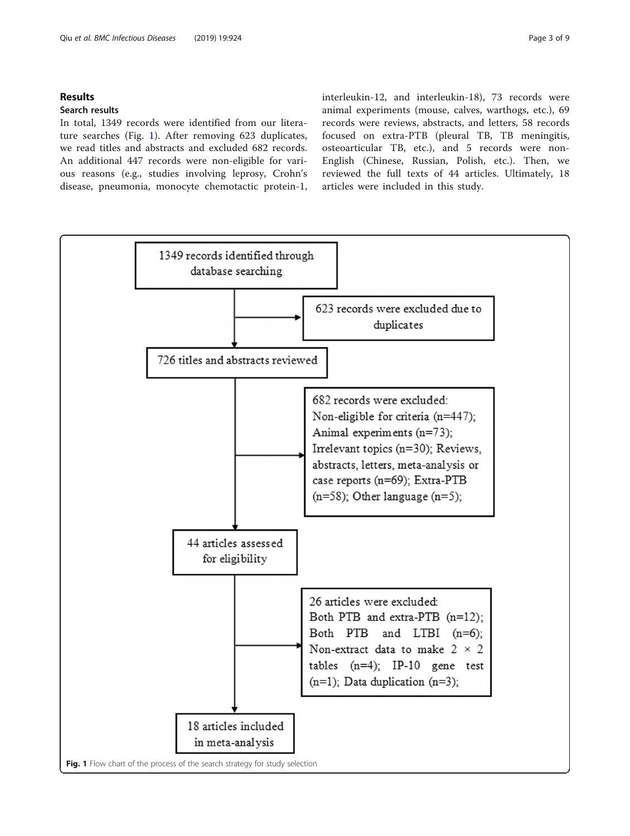## Results

## Search results

In total, 1349 records were identified from our literature searches (Fig. 1). After removing 623 duplicates, we read titles and abstracts and excluded 682 records. An additional 447 records were non-eligible for various reasons (e.g., studies involving leprosy, Crohn's disease, pneumonia, monocyte chemotactic protein-1,

interleukin-12, and interleukin-18), 73 records were animal experiments (mouse, calves, warthogs, etc.), 69 records were reviews, abstracts, and letters, 58 records focused on extra-PTB (pleural TB, TB meningitis, osteoarticular TB, etc.), and 5 records were non-English (Chinese, Russian, Polish, etc.). Then, we reviewed the full texts of 44 articles. Ultimately, 18 articles were included in this study.

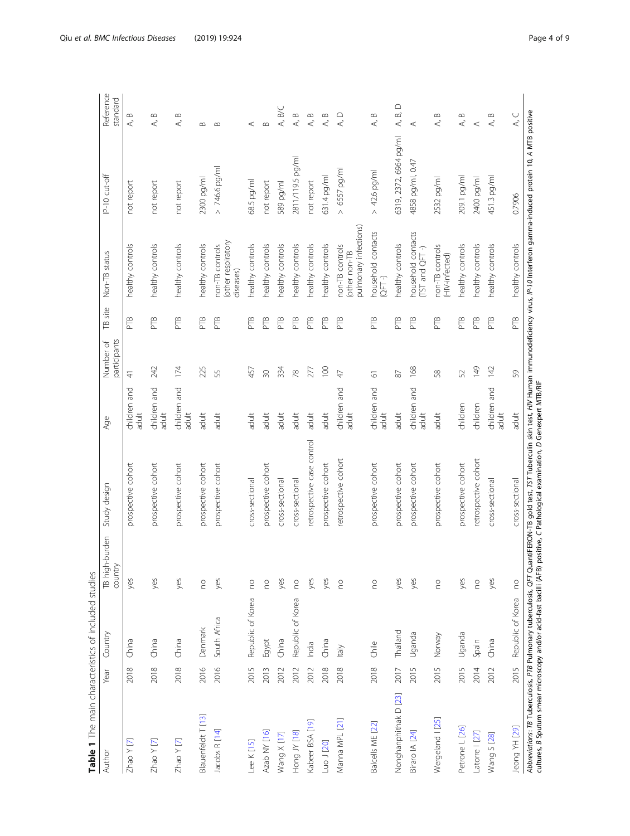<span id="page-3-0"></span>

| Table 1 The main characteristics of included studies               |      |                   |                           |                                                                                                                                                                                                                                                                              |                          |                           |                                |                                                           |                        |                                               |
|--------------------------------------------------------------------|------|-------------------|---------------------------|------------------------------------------------------------------------------------------------------------------------------------------------------------------------------------------------------------------------------------------------------------------------------|--------------------------|---------------------------|--------------------------------|-----------------------------------------------------------|------------------------|-----------------------------------------------|
| Author                                                             | Year | Country           | TB high-burden<br>country | Study design                                                                                                                                                                                                                                                                 | Age                      | participants<br>Number of | site<br>$\widehat{\mathbb{P}}$ | Non-TB status                                             | IP-10 cut-off          | Reference<br>standard                         |
| $Z$ hao Y $[7]$                                                    | 2018 | China             | yes                       | prospective cohort                                                                                                                                                                                                                                                           | and<br>children<br>adult | $\triangleq$              | PTB                            | healthy controls                                          | not report             | $\infty$<br>∢                                 |
| $Z$ hao Y [7]                                                      | 2018 | China             | yes                       | prospective cohort                                                                                                                                                                                                                                                           | children and<br>adult    | 242                       | PTB                            | healthy controls                                          | not report             | $\infty$<br>₹                                 |
| $Z$ hao Y $ Z $                                                    | 2018 | China             | yes                       | prospective cohort                                                                                                                                                                                                                                                           | children and<br>adult    | 174                       | PTB                            | healthy controls                                          | not report             | $\infty$<br>∢                                 |
| Blauenfeldt T [13]                                                 | 2016 | Denmark           | $\mathop{\mathsf{S}}$     | prospective cohort                                                                                                                                                                                                                                                           | adult                    | 225                       | PTB                            | healthy controls                                          | 2300 pg/ml             | $\infty$                                      |
| Jacobs R [14]                                                      | 2016 | South Africa      | yes                       | prospective cohort                                                                                                                                                                                                                                                           | adult                    | 55                        | PTB                            | (other respiratory<br>non-TB controls<br>diseases)        | $> 746.6$ pg/ml        | $\infty$                                      |
| Lee K [15]                                                         | 2015 | Republic of Korea | S                         | cross-sectional                                                                                                                                                                                                                                                              | adut                     | 457                       | PTB                            | healthy controls                                          | 68.5 pg/ml             | $\prec$                                       |
| Azab NY [16]                                                       | 2013 | Egypt             | $\mathop{\mathsf{S}}$     | prospective cohort                                                                                                                                                                                                                                                           | adult                    | $\infty$                  | PTB                            | healthy controls                                          | not report             | $\infty$                                      |
| Wang X [17]                                                        | 2012 | China             | yes                       | cross-sectional                                                                                                                                                                                                                                                              | adult                    | 334                       | PTB                            | healthy controls                                          | 589 pg/ml              | B/C<br>$\prec$                                |
| Hong JY [18]                                                       | 2012 | Republic of Korea | $\mathop{\rm e}\nolimits$ | cross-sectional                                                                                                                                                                                                                                                              | adult                    | 78                        | PTB                            | healthy controls                                          | 2811/119.5 pg/ml       | $\infty$<br>₹                                 |
| Kabeer BSA [19]                                                    | 2012 | India             | yes                       | retrospective case control                                                                                                                                                                                                                                                   | adult                    | 277                       | PTB                            | healthy controls                                          | not report             | $\bf \infty$<br>$\prec$                       |
| Luo J [20]                                                         | 2018 | China             | yes                       | prospective cohort                                                                                                                                                                                                                                                           | adult                    | 100                       | PTB                            | healthy controls                                          | 631.4 pg/ml            | $\, \underline{\circ}$<br>∢                   |
| Manna MPL [21]                                                     | 2018 | ltaly             | $\epsilon$                | retrospective cohort                                                                                                                                                                                                                                                         | children and<br>adult    | $\overline{4}$            | PTB                            | pulmonary infections)<br>non-TB controls<br>(other non-TB | 657 pg/ml<br>$\wedge$  | $\bigcirc$<br>$\prec$                         |
| Balcells ME [22]                                                   | 2018 | Chile             | S                         | prospective cohort                                                                                                                                                                                                                                                           | children and<br>adult    | 5                         | PTB                            | household contacts<br>$QFT-$                              | 42.6 pg/ml<br>$\wedge$ | $\, \underline{\circ}$<br>∢                   |
| Nonghanphithak D [23]                                              | 2017 | Thailand          | yes                       | prospective cohort                                                                                                                                                                                                                                                           | adult                    | $\sqrt{8}$                | PTB                            | healthy controls                                          | 6319, 2372, 6964 pg/ml | $\supset$<br>$\vec{p}$<br>$\prec$             |
| Biraro IA [24]                                                     | 2015 | Uganda            | yes                       | prospective cohort                                                                                                                                                                                                                                                           | children and<br>adult    | 168                       | PTB                            | household contacts<br>$(TST$ and $QFT$ -)                 | 4858 pg/ml, 0.47       | ⋖                                             |
| Wergeland   [25]                                                   | 2015 | Norway            | <b>DO</b>                 | prospective cohort                                                                                                                                                                                                                                                           | adult                    | 58                        | PTB                            | non-TB controls<br>(HIV-infected)                         | 2532 pg/ml             | $\bf \infty$<br>₹                             |
| Petrone L [26]                                                     | 2015 | Uganda            | yes                       | prospective cohort                                                                                                                                                                                                                                                           | children                 | 52                        | PTB                            | healthy controls                                          | 209.1 pg/ml            | $\bf \infty$<br>∢                             |
| Latorre   [27]                                                     | 2014 | Spain             | S                         | retrospective cohort                                                                                                                                                                                                                                                         | children                 | 149                       | PTB                            | healthy controls                                          | 2400 pg/ml             | $\prec$                                       |
| Wang S [28]                                                        | 2012 | China             | yes                       | cross-sectional                                                                                                                                                                                                                                                              | children and<br>adult    | 142                       | PTB                            | healthy controls                                          | 451.3 pg/ml            | $\scriptstyle\mathrel{\mathsf{m}}$<br>$\prec$ |
| Jeong YH [29]                                                      | 2015 | Republic of Korea | <b>DO</b>                 | cross-sectional                                                                                                                                                                                                                                                              | adult                    | 59                        | PTB                            | healthy controls                                          | 0.7906                 | $\lambda$ C                                   |
| cultures, B Sputum smear microscopy and/or acid-fast bacilli (AFB) |      |                   |                           | Abbreviations: 7B Tuberculosis, PTB Pulmonary tuberculosis, OF7 QuantiFERON-TB gold test, TST Tuberculin skin test, HIV Human immunodeficiency virus, IP-10 Interferon gamma-induced protein 10, A MTB positive<br>positive, C Pathological examination, D Genexpert MTB/RIF |                          |                           |                                |                                                           |                        |                                               |
|                                                                    |      |                   |                           |                                                                                                                                                                                                                                                                              |                          |                           |                                |                                                           |                        |                                               |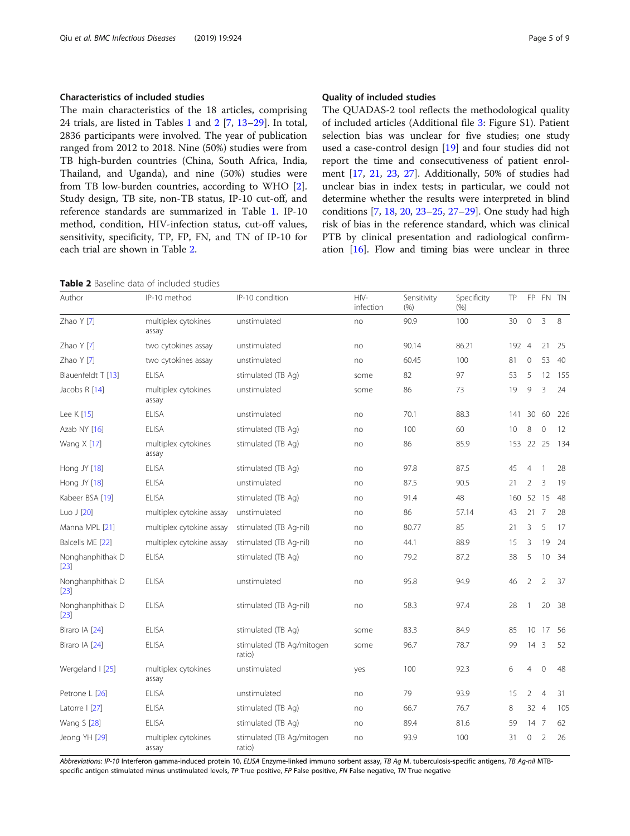The main characteristics of the 18 articles, comprising 24 trials, are listed in Tables [1](#page-3-0) and 2 [[7,](#page-7-0) [13](#page-7-0)–[29\]](#page-8-0). In total, 2836 participants were involved. The year of publication ranged from 2012 to 2018. Nine (50%) studies were from TB high-burden countries (China, South Africa, India, Thailand, and Uganda), and nine (50%) studies were from TB low-burden countries, according to WHO [\[2](#page-7-0)]. Study design, TB site, non-TB status, IP-10 cut-off, and reference standards are summarized in Table [1](#page-3-0). IP-10 method, condition, HIV-infection status, cut-off values, sensitivity, specificity, TP, FP, FN, and TN of IP-10 for each trial are shown in Table 2.

| Table 2 Baseline data of included studies |  |  |
|-------------------------------------------|--|--|
|-------------------------------------------|--|--|

The QUADAS-2 tool reflects the methodological quality of included articles (Additional file [3:](#page-7-0) Figure S1). Patient selection bias was unclear for five studies; one study used a case-control design [\[19\]](#page-7-0) and four studies did not report the time and consecutiveness of patient enrolment [\[17](#page-7-0), [21](#page-8-0), [23,](#page-8-0) [27\]](#page-8-0). Additionally, 50% of studies had unclear bias in index tests; in particular, we could not determine whether the results were interpreted in blind conditions [[7](#page-7-0), [18](#page-7-0), [20](#page-8-0), [23](#page-8-0)–[25,](#page-8-0) [27](#page-8-0)–[29](#page-8-0)]. One study had high risk of bias in the reference standard, which was clinical PTB by clinical presentation and radiological confirmation [[16\]](#page-7-0). Flow and timing bias were unclear in three

| Author                     | IP-10 method                 | IP-10 condition                     | HIV-<br>infection | Sensitivity<br>(%) | Specificity<br>(9/6) | TP  | FP              |                | FN TN |
|----------------------------|------------------------------|-------------------------------------|-------------------|--------------------|----------------------|-----|-----------------|----------------|-------|
| Zhao Y [7]                 | multiplex cytokines<br>assay | unstimulated                        | no                | 90.9               | 100                  | 30  | $\circ$         | $\overline{3}$ | 8     |
| Zhao Y [7]                 | two cytokines assay          | unstimulated                        | no                | 90.14              | 86.21                | 192 | $\overline{4}$  | 21             | 25    |
| Zhao Y [7]                 | two cytokines assay          | unstimulated                        | no                | 60.45              | 100                  | 81  | $\mathbf{0}$    | 53             | 40    |
| Blauenfeldt T [13]         | ELISA                        | stimulated (TB Aq)                  | some              | 82                 | 97                   | 53  | 5               | 12             | 155   |
| Jacobs R [14]              | multiplex cytokines<br>assay | unstimulated                        | some              | 86                 | 73                   | 19  | 9               | 3              | 24    |
| Lee K [15]                 | <b>ELISA</b>                 | unstimulated                        | no                | 70.1               | 88.3                 | 141 | 30              | 60             | 226   |
| Azab NY [16]               | <b>ELISA</b>                 | stimulated (TB Aq)                  | no                | 100                | 60                   | 10  | 8               | $\mathbf 0$    | 12    |
| Wang X [17]                | multiplex cytokines<br>assay | stimulated (TB Ag)                  | no                | 86                 | 85.9                 | 153 |                 | 22 25          | 134   |
| Hong JY [18]               | <b>ELISA</b>                 | stimulated (TB Aq)                  | no                | 97.8               | 87.5                 | 45  | $\overline{4}$  | $\overline{1}$ | 28    |
| Hong JY [18]               | <b>ELISA</b>                 | unstimulated                        | no                | 87.5               | 90.5                 | 21  | $\overline{2}$  | 3              | 19    |
| Kabeer BSA [19]            | <b>ELISA</b>                 | stimulated (TB Aq)                  | no                | 91.4               | 48                   | 160 |                 | 52 15          | 48    |
| Luo $J$ [20]               | multiplex cytokine assay     | unstimulated                        | no                | 86                 | 57.14                | 43  | 21 7            |                | 28    |
| Manna MPL [21]             | multiplex cytokine assay     | stimulated (TB Ag-nil)              | no                | 80.77              | 85                   | 21  | 3               | 5              | 17    |
| Balcells ME [22]           | multiplex cytokine assay     | stimulated (TB Ag-nil)              | no                | 44.1               | 88.9                 | 15  | 3               | 19             | 24    |
| Nonghanphithak D<br>$[23]$ | <b>ELISA</b>                 | stimulated (TB Aq)                  | no                | 79.2               | 87.2                 | 38  | 5               | 10             | - 34  |
| Nonghanphithak D<br>$[23]$ | ELISA                        | unstimulated                        | no                | 95.8               | 94.9                 | 46  | 2               | $\overline{2}$ | 37    |
| Nonghanphithak D<br>$[23]$ | ELISA                        | stimulated (TB Ag-nil)              | no                | 58.3               | 97.4                 | 28  | $\mathbf{1}$    | 20             | 38    |
| Biraro IA [24]             | <b>ELISA</b>                 | stimulated (TB Aq)                  | some              | 83.3               | 84.9                 | 85  | 10 <sup>°</sup> | -17            | 56    |
| Biraro IA [24]             | <b>ELISA</b>                 | stimulated (TB Ag/mitogen<br>ratio) | some              | 96.7               | 78.7                 | 99  | $14 \quad 3$    |                | 52    |
| Wergeland I [25]           | multiplex cytokines<br>assay | unstimulated                        | yes               | 100                | 92.3                 | 6   | $\overline{4}$  | $\mathbf{0}$   | 48    |
| Petrone L [26]             | <b>ELISA</b>                 | unstimulated                        | no                | 79                 | 93.9                 | 15  | $\overline{2}$  | $\overline{4}$ | 31    |
| Latorre   [27]             | <b>ELISA</b>                 | stimulated (TB Aq)                  | no                | 66.7               | 76.7                 | 8   | 32 4            |                | 105   |
| Wang S [28]                | ELISA                        | stimulated (TB Ag)                  | no                | 89.4               | 81.6                 | 59  | $14-7$          |                | 62    |
| Jeong YH [29]              | multiplex cytokines<br>assay | stimulated (TB Ag/mitogen<br>ratio) | no                | 93.9               | 100                  | 31  | $\Omega$        | $\overline{2}$ | 26    |

Abbreviations: IP-10 Interferon gamma-induced protein 10, ELISA Enzyme-linked immuno sorbent assay, TB Ag M. tuberculosis-specific antigens, TB Ag-nil MTBspecific antigen stimulated minus unstimulated levels, TP True positive, FP False positive, FN False negative, TN True negative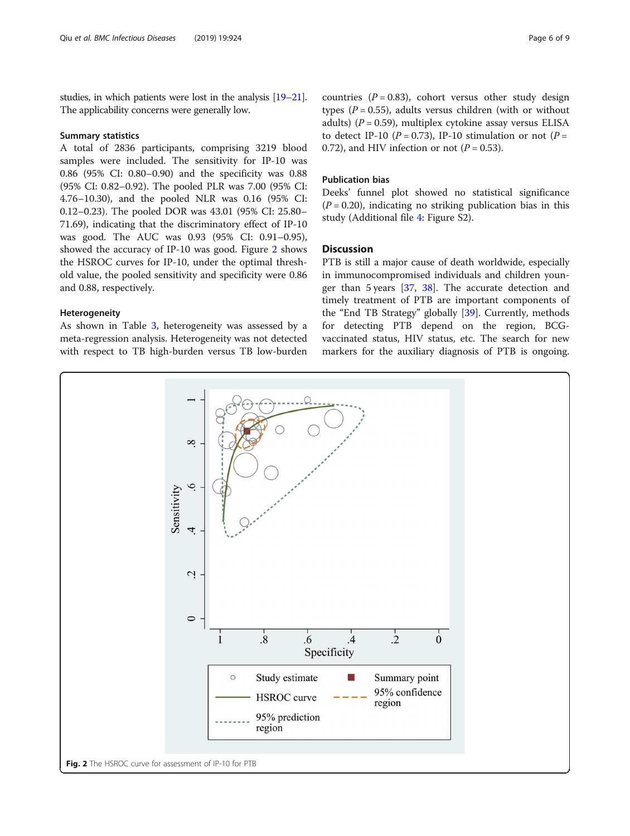studies, in which patients were lost in the analysis [[19](#page-7-0)–[21](#page-8-0)]. The applicability concerns were generally low.

#### Summary statistics

A total of 2836 participants, comprising 3219 blood samples were included. The sensitivity for IP-10 was 0.86 (95% CI: 0.80–0.90) and the specificity was 0.88 (95% CI: 0.82–0.92). The pooled PLR was 7.00 (95% CI: 4.76–10.30), and the pooled NLR was 0.16 (95% CI: 0.12–0.23). The pooled DOR was 43.01 (95% CI: 25.80– 71.69), indicating that the discriminatory effect of IP-10 was good. The AUC was 0.93 (95% CI: 0.91–0.95), showed the accuracy of IP-10 was good. Figure 2 shows the HSROC curves for IP-10, under the optimal threshold value, the pooled sensitivity and specificity were 0.86 and 0.88, respectively.

#### Heterogeneity

As shown in Table [3](#page-6-0), heterogeneity was assessed by a meta-regression analysis. Heterogeneity was not detected with respect to TB high-burden versus TB low-burden countries ( $P = 0.83$ ), cohort versus other study design types ( $P = 0.55$ ), adults versus children (with or without adults) ( $P = 0.59$ ), multiplex cytokine assay versus ELISA to detect IP-10 ( $P = 0.73$ ), IP-10 stimulation or not ( $P =$ 0.72), and HIV infection or not  $(P = 0.53)$ .

## Publication bias

Deeks' funnel plot showed no statistical significance  $(P = 0.20)$ , indicating no striking publication bias in this study (Additional file [4](#page-7-0): Figure S2).

## **Discussion**

PTB is still a major cause of death worldwide, especially in immunocompromised individuals and children younger than 5 years [\[37,](#page-8-0) [38](#page-8-0)]. The accurate detection and timely treatment of PTB are important components of the "End TB Strategy" globally [\[39](#page-8-0)]. Currently, methods for detecting PTB depend on the region, BCGvaccinated status, HIV status, etc. The search for new markers for the auxiliary diagnosis of PTB is ongoing.

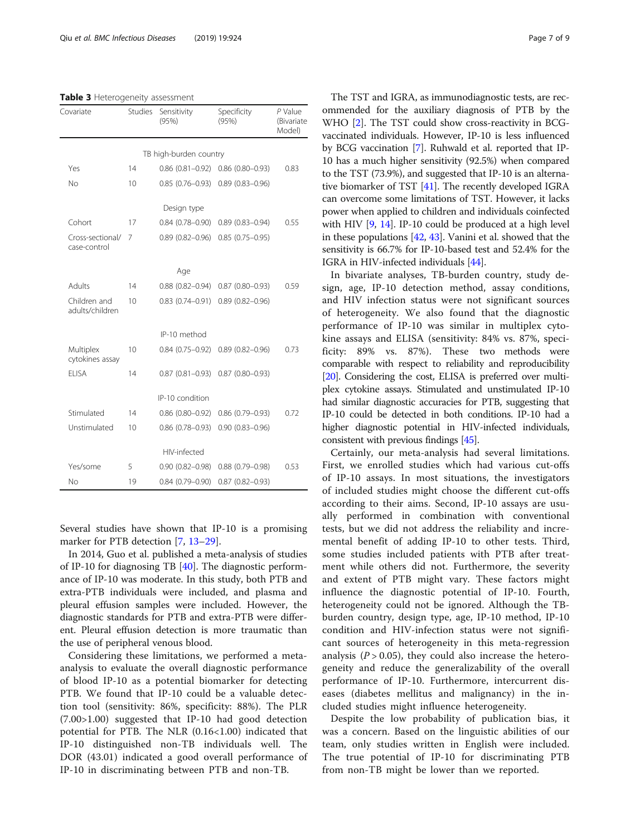#### <span id="page-6-0"></span>Table 3 Heterogeneity assessment

| Covariate                        | <b>Studies</b> | Sensitivity<br>(95%)   | Specificity<br>(95%)   | P Value<br>(Bivariate<br>Model) |
|----------------------------------|----------------|------------------------|------------------------|---------------------------------|
|                                  |                | TB high-burden country |                        |                                 |
| Yes                              | 14             | $0.86(0.81 - 0.92)$    | $0.86(0.80 - 0.93)$    | 0.83                            |
| No                               | 10             | $0.85(0.76 - 0.93)$    | $0.89(0.83 - 0.96)$    |                                 |
|                                  |                | Design type            |                        |                                 |
| Cohort                           | 17             | $0.84(0.78 - 0.90)$    | $0.89(0.83 - 0.94)$    | 0.55                            |
| Cross-sectional/<br>case-control | 7              | $0.89(0.82 - 0.96)$    | $0.85(0.75 - 0.95)$    |                                 |
|                                  |                | Age                    |                        |                                 |
| Adults                           | 14             | $0.88$ $(0.82 - 0.94)$ | $0.87$ (0.80-0.93)     | 0.59                            |
| Children and<br>adults/children  | 10             | $0.83(0.74 - 0.91)$    | $0.89(0.82 - 0.96)$    |                                 |
|                                  |                | IP-10 method           |                        |                                 |
| Multiplex<br>cytokines assay     | 10             | $0.84(0.75-0.92)$      | $0.89(0.82 - 0.96)$    | 0.73                            |
| FI ISA                           | 14             | $0.87(0.81 - 0.93)$    | $0.87(0.80 - 0.93)$    |                                 |
|                                  |                | IP-10 condition        |                        |                                 |
| Stimulated                       | 14             | $0.86$ (0.80-0.92)     | $0.86(0.79 - 0.93)$    | 0.72                            |
| Unstimulated                     | 10             | $0.86(0.78 - 0.93)$    | $0.90(0.83 - 0.96)$    |                                 |
|                                  |                | HIV-infected           |                        |                                 |
| Yes/some                         | 5              | $0.90(0.82 - 0.98)$    | $0.88$ $(0.79 - 0.98)$ | 0.53                            |
| No                               | 19             | $0.84(0.79 - 0.90)$    | $0.87(0.82 - 0.93)$    |                                 |

Several studies have shown that IP-10 is a promising marker for PTB detection [\[7](#page-7-0), [13](#page-7-0)–[29\]](#page-8-0).

In 2014, Guo et al. published a meta-analysis of studies of IP-10 for diagnosing TB [\[40](#page-8-0)]. The diagnostic performance of IP-10 was moderate. In this study, both PTB and extra-PTB individuals were included, and plasma and pleural effusion samples were included. However, the diagnostic standards for PTB and extra-PTB were different. Pleural effusion detection is more traumatic than the use of peripheral venous blood.

Considering these limitations, we performed a metaanalysis to evaluate the overall diagnostic performance of blood IP-10 as a potential biomarker for detecting PTB. We found that IP-10 could be a valuable detection tool (sensitivity: 86%, specificity: 88%). The PLR (7.00>1.00) suggested that IP-10 had good detection potential for PTB. The NLR (0.16<1.00) indicated that IP-10 distinguished non-TB individuals well. The DOR (43.01) indicated a good overall performance of IP-10 in discriminating between PTB and non-TB.

The TST and IGRA, as immunodiagnostic tests, are recommended for the auxiliary diagnosis of PTB by the WHO [\[2](#page-7-0)]. The TST could show cross-reactivity in BCGvaccinated individuals. However, IP-10 is less influenced by BCG vaccination [\[7\]](#page-7-0). Ruhwald et al. reported that IP-10 has a much higher sensitivity (92.5%) when compared to the TST (73.9%), and suggested that IP-10 is an alternative biomarker of TST [[41](#page-8-0)]. The recently developed IGRA can overcome some limitations of TST. However, it lacks power when applied to children and individuals coinfected with HIV [\[9,](#page-7-0) [14\]](#page-7-0). IP-10 could be produced at a high level in these populations [\[42](#page-8-0), [43\]](#page-8-0). Vanini et al. showed that the sensitivity is 66.7% for IP-10-based test and 52.4% for the IGRA in HIV-infected individuals [\[44\]](#page-8-0).

In bivariate analyses, TB-burden country, study design, age, IP-10 detection method, assay conditions, and HIV infection status were not significant sources of heterogeneity. We also found that the diagnostic performance of IP-10 was similar in multiplex cytokine assays and ELISA (sensitivity: 84% vs. 87%, specificity: 89% vs. 87%). These two methods were comparable with respect to reliability and reproducibility [[20](#page-8-0)]. Considering the cost, ELISA is preferred over multiplex cytokine assays. Stimulated and unstimulated IP-10 had similar diagnostic accuracies for PTB, suggesting that IP-10 could be detected in both conditions. IP-10 had a higher diagnostic potential in HIV-infected individuals, consistent with previous findings [[45](#page-8-0)].

Certainly, our meta-analysis had several limitations. First, we enrolled studies which had various cut-offs of IP-10 assays. In most situations, the investigators of included studies might choose the different cut-offs according to their aims. Second, IP-10 assays are usually performed in combination with conventional tests, but we did not address the reliability and incremental benefit of adding IP-10 to other tests. Third, some studies included patients with PTB after treatment while others did not. Furthermore, the severity and extent of PTB might vary. These factors might influence the diagnostic potential of IP-10. Fourth, heterogeneity could not be ignored. Although the TBburden country, design type, age, IP-10 method, IP-10 condition and HIV-infection status were not significant sources of heterogeneity in this meta-regression analysis ( $P > 0.05$ ), they could also increase the heterogeneity and reduce the generalizability of the overall performance of IP-10. Furthermore, intercurrent diseases (diabetes mellitus and malignancy) in the included studies might influence heterogeneity.

Despite the low probability of publication bias, it was a concern. Based on the linguistic abilities of our team, only studies written in English were included. The true potential of IP-10 for discriminating PTB from non-TB might be lower than we reported.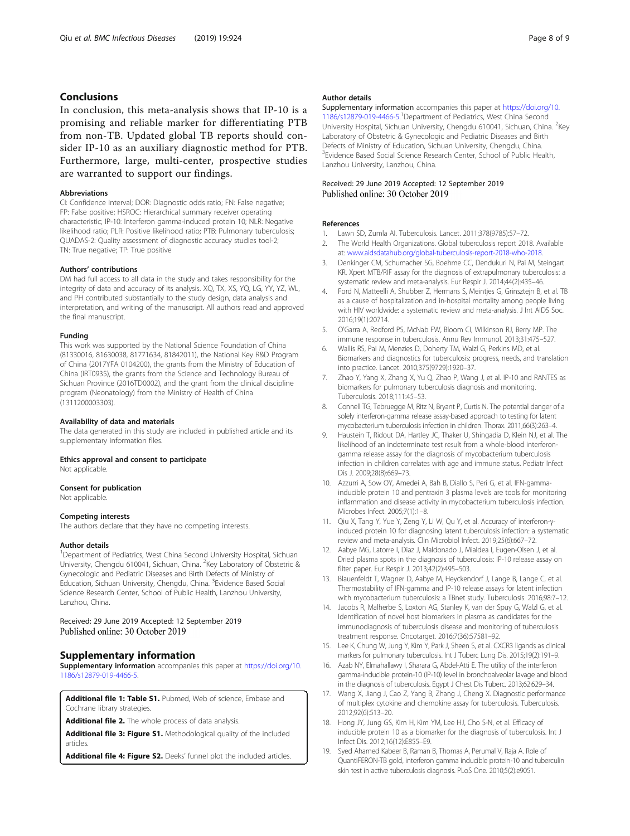## <span id="page-7-0"></span>Conclusions

In conclusion, this meta-analysis shows that IP-10 is a promising and reliable marker for differentiating PTB from non-TB. Updated global TB reports should consider IP-10 as an auxiliary diagnostic method for PTB. Furthermore, large, multi-center, prospective studies are warranted to support our findings.

#### Abbreviations

CI: Confidence interval; DOR: Diagnostic odds ratio; FN: False negative; FP: False positive; HSROC: Hierarchical summary receiver operating characteristic; IP-10: Interferon gamma-induced protein 10; NLR: Negative likelihood ratio; PLR: Positive likelihood ratio; PTB: Pulmonary tuberculosis; QUADAS-2: Quality assessment of diagnostic accuracy studies tool-2; TN: True negative; TP: True positive

#### Authors' contributions

DM had full access to all data in the study and takes responsibility for the integrity of data and accuracy of its analysis. XQ, TX, XS, YQ, LG, YY, YZ, WL, and PH contributed substantially to the study design, data analysis and interpretation, and writing of the manuscript. All authors read and approved the final manuscript.

#### Funding

This work was supported by the National Science Foundation of China (81330016, 81630038, 81771634, 81842011), the National Key R&D Program of China (2017YFA 0104200), the grants from the Ministry of Education of China (IRT0935), the grants from the Science and Technology Bureau of Sichuan Province (2016TD0002), and the grant from the clinical discipline program (Neonatology) from the Ministry of Health of China (1311200003303).

#### Availability of data and materials

The data generated in this study are included in published article and its supplementary information files.

## Ethics approval and consent to participate

Not applicable.

#### Consent for publication

Not applicable.

#### Competing interests

The authors declare that they have no competing interests.

#### Author details

<sup>1</sup>Department of Pediatrics, West China Second University Hospital, Sichuan University, Chengdu 610041, Sichuan, China. <sup>2</sup>Key Laboratory of Obstetric & Gynecologic and Pediatric Diseases and Birth Defects of Ministry of Education, Sichuan University, Chengdu, China. <sup>3</sup>Evidence Based Social Science Research Center, School of Public Health, Lanzhou University, Lanzhou, China.

#### Received: 29 June 2019 Accepted: 12 September 2019 Published online: 30 October 2019

## Supplementary information

Supplementary information accompanies this paper at [https://doi.org/10.](https://doi.org/10.1186/s12879-019-4466-5) [1186/s12879-019-4466-5.](https://doi.org/10.1186/s12879-019-4466-5)

Additional file 1: Table S1. Pubmed, Web of science, Embase and Cochrane library strategies.

Additional file 2. The whole process of data analysis.

Additional file 3: Figure S1. Methodological quality of the included articles.

Additional file 4: Figure S2. Deeks' funnel plot the included articles.

#### Author details

Supplementary information accompanies this paper at [https://doi.org/10.](https://doi.org/10.1186/s12879-019-4466-5) [1186/s12879-019-4466-5.](https://doi.org/10.1186/s12879-019-4466-5) 1 Department of Pediatrics, West China Second University Hospital, Sichuan University, Chengdu 610041, Sichuan, China. <sup>2</sup>Key Laboratory of Obstetric & Gynecologic and Pediatric Diseases and Birth Defects of Ministry of Education, Sichuan University, Chengdu, China. <sup>3</sup> Evidence Based Social Science Research Center, School of Public Health Lanzhou University, Lanzhou, China.

#### Received: 29 June 2019 Accepted: 12 September 2019 Published online: 30 October 2019

#### References

- 1. Lawn SD, Zumla AI. Tuberculosis. Lancet. 2011;378(9785):57–72.
- 2. The World Health Organizations. Global tuberculosis report 2018. Available at: [www.aidsdatahub.org/global-tuberculosis-report-2018-who-2018.](http://www.aidsdatahub.org/global-tuberculosis-report-2018-who-2018)
- 3. Denkinger CM, Schumacher SG, Boehme CC, Dendukuri N, Pai M, Steingart KR. Xpert MTB/RIF assay for the diagnosis of extrapulmonary tuberculosis: a systematic review and meta-analysis. Eur Respir J. 2014;44(2):435–46.
- 4. Ford N, Matteelli A, Shubber Z, Hermans S, Meintjes G, Grinsztejn B, et al. TB as a cause of hospitalization and in-hospital mortality among people living with HIV worldwide: a systematic review and meta-analysis. J Int AIDS Soc. 2016;19(1):20714.
- 5. O'Garra A, Redford PS, McNab FW, Bloom CI, Wilkinson RJ, Berry MP. The immune response in tuberculosis. Annu Rev Immunol. 2013;31:475–527.
- 6. Wallis RS, Pai M, Menzies D, Doherty TM, Walzl G, Perkins MD, et al. Biomarkers and diagnostics for tuberculosis: progress, needs, and translation into practice. Lancet. 2010;375(9729):1920–37.
- 7. Zhao Y, Yang X, Zhang X, Yu Q, Zhao P, Wang J, et al. IP-10 and RANTES as biomarkers for pulmonary tuberculosis diagnosis and monitoring. Tuberculosis. 2018;111:45–53.
- 8. Connell TG, Tebruegge M, Ritz N, Bryant P, Curtis N. The potential danger of a solely interferon-gamma release assay-based approach to testing for latent mycobacterium tuberculosis infection in children. Thorax. 2011;66(3):263–4.
- 9. Haustein T, Ridout DA, Hartley JC, Thaker U, Shingadia D, Klein NJ, et al. The likelihood of an indeterminate test result from a whole-blood interferongamma release assay for the diagnosis of mycobacterium tuberculosis infection in children correlates with age and immune status. Pediatr Infect Dis J. 2009;28(8):669–73.
- 10. Azzurri A, Sow OY, Amedei A, Bah B, Diallo S, Peri G, et al. IFN-gammainducible protein 10 and pentraxin 3 plasma levels are tools for monitoring inflammation and disease activity in mycobacterium tuberculosis infection. Microbes Infect. 2005;7(1):1–8.
- 11. Qiu X, Tang Y, Yue Y, Zeng Y, Li W, Qu Y, et al. Accuracy of interferon-yinduced protein 10 for diagnosing latent tuberculosis infection: a systematic review and meta-analysis. Clin Microbiol Infect. 2019;25(6):667–72.
- 12. Aabye MG, Latorre I, Diaz J, Maldonado J, Mialdea I, Eugen-Olsen J, et al. Dried plasma spots in the diagnosis of tuberculosis: IP-10 release assay on filter paper. Eur Respir J. 2013;42(2):495–503.
- 13. Blauenfeldt T, Wagner D, Aabye M, Heyckendorf J, Lange B, Lange C, et al. Thermostability of IFN-gamma and IP-10 release assays for latent infection with mycobacterium tuberculosis: a TBnet study. Tuberculosis. 2016;98:7–12.
- 14. Jacobs R, Malherbe S, Loxton AG, Stanley K, van der Spuy G, Walzl G, et al. Identification of novel host biomarkers in plasma as candidates for the immunodiagnosis of tuberculosis disease and monitoring of tuberculosis treatment response. Oncotarget. 2016;7(36):57581–92.
- 15. Lee K, Chung W, Jung Y, Kim Y, Park J, Sheen S, et al. CXCR3 ligands as clinical markers for pulmonary tuberculosis. Int J Tuberc Lung Dis. 2015;19(2):191–9.
- 16. Azab NY, Elmahallawy I, Sharara G, Abdel-Atti E. The utility of the interferon gamma-inducible protein-10 (IP-10) level in bronchoalveolar lavage and blood in the diagnosis of tuberculosis. Egypt J Chest Dis Tuberc. 2013;62:629–34.
- 17. Wang X, Jiang J, Cao Z, Yang B, Zhang J, Cheng X. Diagnostic performance of multiplex cytokine and chemokine assay for tuberculosis. Tuberculosis. 2012;92(6):513–20.
- 18. Hong JY, Jung GS, Kim H, Kim YM, Lee HJ, Cho S-N, et al. Efficacy of inducible protein 10 as a biomarker for the diagnosis of tuberculosis. Int J Infect Dis. 2012;16(12):E855–E9.
- 19. Syed Ahamed Kabeer B, Raman B, Thomas A, Perumal V, Raja A. Role of QuantiFERON-TB gold, interferon gamma inducible protein-10 and tuberculin skin test in active tuberculosis diagnosis. PLoS One. 2010;5(2):e9051.